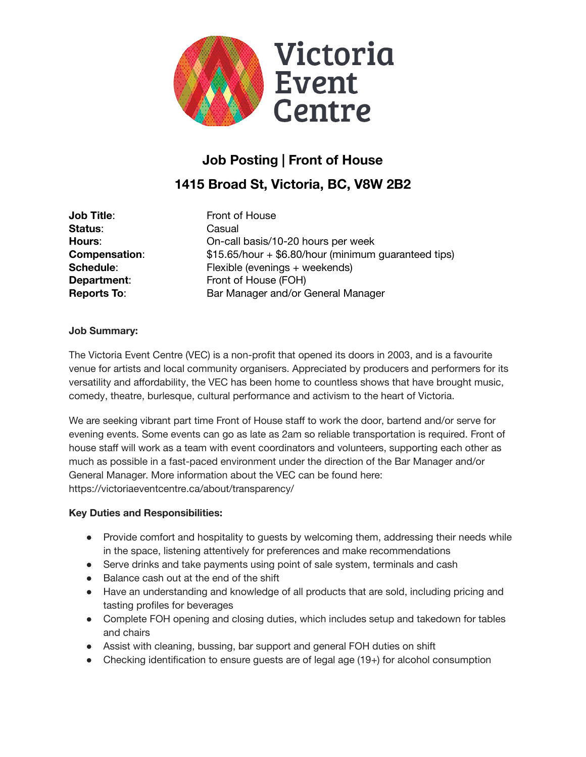

# **Job Posting | Front of House 1415 Broad St, Victoria, BC, V8W 2B2**

| Job Title:           |
|----------------------|
| Status:              |
| <b>Hours:</b>        |
| <b>Compensation:</b> |
| Schedule:            |
| Department:          |
| <b>Reports To:</b>   |

**Front of House Status**: Casual On-call basis/10-20 hours per week **Compensation**: \$15.65/hour + \$6.80/hour (minimum guaranteed tips) Flexible (evenings + weekends) Front of House (FOH) **Reports To**: Bar Manager and/or General Manager

# **Job Summary:**

The Victoria Event Centre (VEC) is a non-profit that opened its doors in 2003, and is a favourite venue for artists and local community organisers. Appreciated by producers and performers for its versatility and affordability, the VEC has been home to countless shows that have brought music, comedy, theatre, burlesque, cultural performance and activism to the heart of Victoria.

We are seeking vibrant part time Front of House staff to work the door, bartend and/or serve for evening events. Some events can go as late as 2am so reliable transportation is required. Front of house staff will work as a team with event coordinators and volunteers, supporting each other as much as possible in a fast-paced environment under the direction of the Bar Manager and/or General Manager. More information about the VEC can be found here: https://victoriaeventcentre.ca/about/transparency/

#### **Key Duties and Responsibilities:**

- Provide comfort and hospitality to quests by welcoming them, addressing their needs while in the space, listening attentively for preferences and make recommendations
- Serve drinks and take payments using point of sale system, terminals and cash
- Balance cash out at the end of the shift
- Have an understanding and knowledge of all products that are sold, including pricing and tasting profiles for beverages
- Complete FOH opening and closing duties, which includes setup and takedown for tables and chairs
- Assist with cleaning, bussing, bar support and general FOH duties on shift
- Checking identification to ensure quests are of legal age  $(19+)$  for alcohol consumption